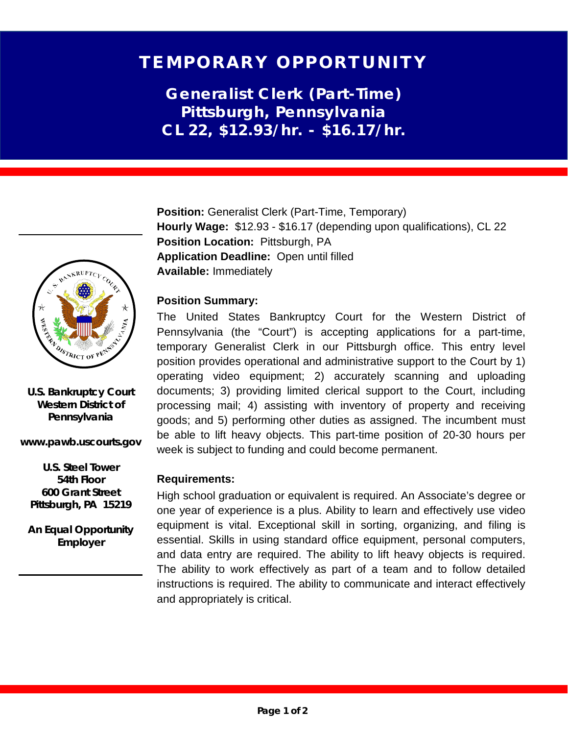# TEMPORARY OPPORTUNITY

**Generalist Clerk (Part-Time) Pittsburgh, Pennsylvania CL 22, \$12.93/hr. - \$16.17/hr.**

**Position:** Generalist Clerk (Part-Time, Temporary) **Hourly Wage:** \$12.93 - \$16.17 (depending upon qualifications), CL 22 **Position Location:** Pittsburgh, PA **Application Deadline:** Open until filled **Available:** Immediately

## **Position Summary:**

The United States Bankruptcy Court for the Western District of Pennsylvania (the "Court") is accepting applications for a part-time, temporary Generalist Clerk in our Pittsburgh office. This entry level position provides operational and administrative support to the Court by 1) operating video equipment; 2) accurately scanning and uploading documents; 3) providing limited clerical support to the Court, including processing mail; 4) assisting with inventory of property and receiving goods; and 5) performing other duties as assigned. The incumbent must be able to lift heavy objects. This part-time position of 20-30 hours per week is subject to funding and could become permanent.

## **Requirements:**

High school graduation or equivalent is required. An Associate's degree or one year of experience is a plus. Ability to learn and effectively use video equipment is vital. Exceptional skill in sorting, organizing, and filing is essential. Skills in using standard office equipment, personal computers, and data entry are required. The ability to lift heavy objects is required. The ability to work effectively as part of a team and to follow detailed instructions is required. The ability to communicate and interact effectively and appropriately is critical.



**U.S. Bankruptcy Court Western District of Pennsylvania**

**www.pawb.uscourts.gov**

**U.S. Steel Tower 54th Floor 600 Grant Street Pittsburgh, PA 15219**

**An Equal Opportunity Employer**